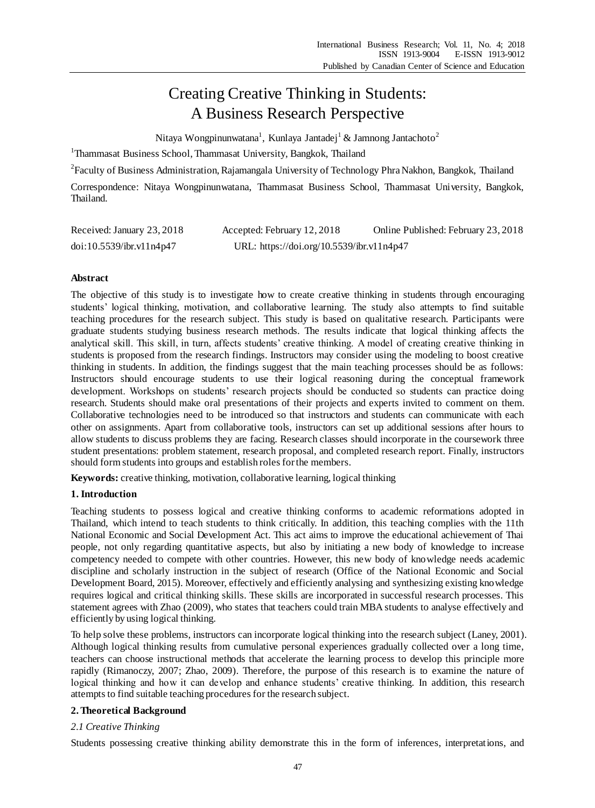# Creating Creative Thinking in Students: A Business Research Perspective

Nitaya Wongpinunwatana<sup>1</sup>, Kunlaya Jantadej<sup>1</sup> & Jamnong Jantachoto<sup>2</sup>

<sup>1</sup>Thammasat Business School, Thammasat University, Bangkok, Thailand

<sup>2</sup> Faculty of Business Administration, Rajamangala University of Technology Phra Nakhon, Bangkok, Thailand

Correspondence: Nitaya Wongpinunwatana, Thammasat Business School, Thammasat University, Bangkok, Thailand.

| Received: January 23, 2018 | Accepted: February 12, 2018               | Online Published: February 23, 2018 |
|----------------------------|-------------------------------------------|-------------------------------------|
| doi:10.5539/ibr.v11n4p47   | URL: https://doi.org/10.5539/ibr.v11n4p47 |                                     |

# **Abstract**

The objective of this study is to investigate how to create creative thinking in students through encouraging students' logical thinking, motivation, and collaborative learning. The study also attempts to find suitable teaching procedures for the research subject. This study is based on qualitative research. Participants were graduate students studying business research methods. The results indicate that logical thinking affects the analytical skill. This skill, in turn, affects students' creative thinking. A model of creating creative thinking in students is proposed from the research findings. Instructors may consider using the modeling to boost creative thinking in students. In addition, the findings suggest that the main teaching processes should be as follows: Instructors should encourage students to use their logical reasoning during the conceptual framework development. Workshops on students' research projects should be conducted so students can practice doing research. Students should make oral presentations of their projects and experts invited to comment on them. Collaborative technologies need to be introduced so that instructors and students can communicate with each other on assignments. Apart from collaborative tools, instructors can set up additional sessions after hours to allow students to discuss problems they are facing. Research classes should incorporate in the coursework three student presentations: problem statement, research proposal, and completed research report. Finally, instructors should form students into groups and establish roles for the members.

**Keywords:** creative thinking, motivation, collaborative learning, logical thinking

## **1. Introduction**

Teaching students to possess logical and creative thinking conforms to academic reformations adopted in Thailand, which intend to teach students to think critically. In addition, this teaching complies with the 11th National Economic and Social Development Act. This act aims to improve the educational achievement of Thai people, not only regarding quantitative aspects, but also by initiating a new body of knowledge to increase competency needed to compete with other countries. However, this new body of knowledge needs academic discipline and scholarly instruction in the subject of research (Office of the National Economic and Social Development Board, 2015). Moreover, effectively and efficiently analysing and synthesizing existing knowledge requires logical and critical thinking skills. These skills are incorporated in successful research processes. This statement agrees with Zhao (2009), who states that teachers could train MBA students to analyse effectively and efficiently by using logical thinking.

To help solve these problems, instructors can incorporate logical thinking into the research subject (Laney, 2001). Although logical thinking results from cumulative personal experiences gradually collected over a long time, teachers can choose instructional methods that accelerate the learning process to develop this principle more rapidly (Rimanoczy, 2007; Zhao, 2009). Therefore, the purpose of this research is to examine the nature of logical thinking and how it can develop and enhance students' creative thinking. In addition, this research attempts to find suitable teaching procedures for the research subject.

# **2. Theoretical Background**

# *2.1 Creative Thinking*

Students possessing creative thinking ability demonstrate this in the form of inferences, interpretations, and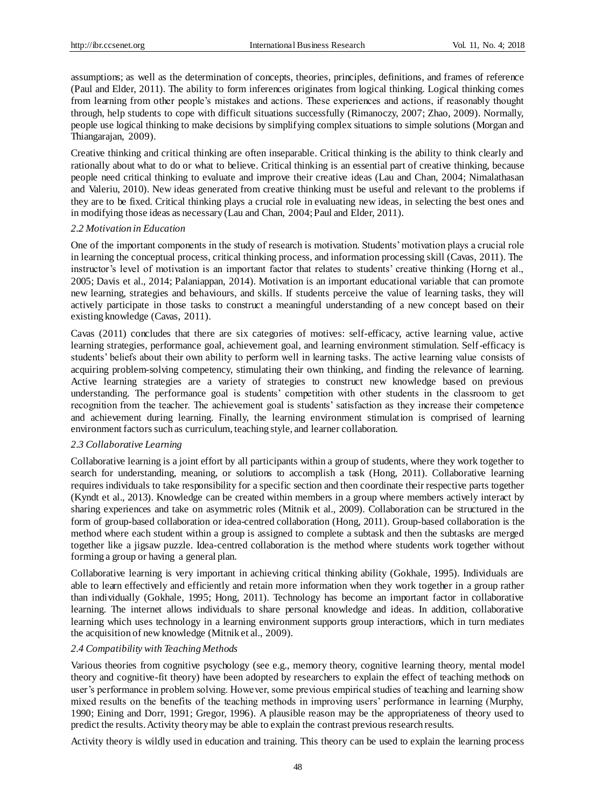assumptions; as well as the determination of concepts, theories, principles, definitions, and frames of reference (Paul and Elder, 2011). The ability to form inferences originates from logical thinking. Logical thinking comes from learning from other people's mistakes and actions. These experiences and actions, if reasonably thought through, help students to cope with difficult situations successfully (Rimanoczy, 2007; Zhao, 2009). Normally, people use logical thinking to make decisions by simplifying complex situations to simple solutions (Morgan and Thiangarajan, 2009).

Creative thinking and critical thinking are often inseparable. Critical thinking is the ability to think clearly and rationally about what to do or what to believe. Critical thinking is an essential part of creative thinking, because people need critical thinking to evaluate and improve their creative ideas (Lau and Chan, 2004; Nimalathasan and Valeriu, 2010). New ideas generated from creative thinking must be useful and relevant to the problems if they are to be fixed. Critical thinking plays a crucial role in evaluating new ideas, in selecting the best ones and in modifying those ideas as necessary (Lau and Chan, 2004; Paul and Elder, 2011).

#### *2.2 Motivation in Education*

One of the important components in the study of research is motivation. Students' motivation plays a crucial role in learning the conceptual process, critical thinking process, and information processing skill (Cavas, 2011). The instructor's level of motivation is an important factor that relates to students' creative thinking (Horng et al., 2005; Davis et al., 2014; Palaniappan, 2014). Motivation is an important educational variable that can promote new learning, strategies and behaviours, and skills. If students perceive the value of learning tasks, they will actively participate in those tasks to construct a meaningful understanding of a new concept based on their existing knowledge (Cavas, 2011).

Cavas (2011) concludes that there are six categories of motives: self-efficacy, active learning value, active learning strategies, performance goal, achievement goal, and learning environment stimulation. Self-efficacy is students' beliefs about their own ability to perform well in learning tasks. The active learning value consists of acquiring problem-solving competency, stimulating their own thinking, and finding the relevance of learning. Active learning strategies are a variety of strategies to construct new knowledge based on previous understanding. The performance goal is students' competition with other students in the classroom to get recognition from the teacher. The achievement goal is students' satisfaction as they increase their competence and achievement during learning. Finally, the learning environment stimulation is comprised of learning environment factors such as curriculum, teaching style, and learner collaboration.

#### *2.3 Collaborative Learning*

Collaborative learning is a joint effort by all participants within a group of students, where they work together to search for understanding, meaning, or solutions to accomplish a task (Hong, 2011). Collaborative learning requires individuals to take responsibility for a specific section and then coordinate their respective parts together (Kyndt et al., 2013). Knowledge can be created within members in a group where members actively interact by sharing experiences and take on asymmetric roles (Mitnik et al., 2009). Collaboration can be structured in the form of group-based collaboration or idea-centred collaboration (Hong, 2011). Group-based collaboration is the method where each student within a group is assigned to complete a subtask and then the subtasks are merged together like a jigsaw puzzle. Idea-centred collaboration is the method where students work together without forming a group or having a general plan.

Collaborative learning is very important in achieving critical thinking ability (Gokhale, 1995). Individuals are able to learn effectively and efficiently and retain more information when they work together in a group rather than individually (Gokhale, 1995; Hong, 2011). Technology has become an important factor in collaborative learning. The internet allows individuals to share personal knowledge and ideas. In addition, collaborative learning which uses technology in a learning environment supports group interactions, which in turn mediates the acquisition of new knowledge (Mitnik et al., 2009).

#### *2.4 Compatibility with Teaching Methods*

Various theories from cognitive psychology (see e.g., memory theory, cognitive learning theory, mental model theory and cognitive-fit theory) have been adopted by researchers to explain the effect of teaching methods on user's performance in problem solving. However, some previous empirical studies of teaching and learning show mixed results on the benefits of the teaching methods in improving users' performance in learning (Murphy, 1990; Eining and Dorr, 1991; Gregor, 1996). A plausible reason may be the appropriateness of theory used to predict the results. Activity theory may be able to explain the contrast previous research results.

Activity theory is wildly used in education and training. This theory can be used to explain the learning process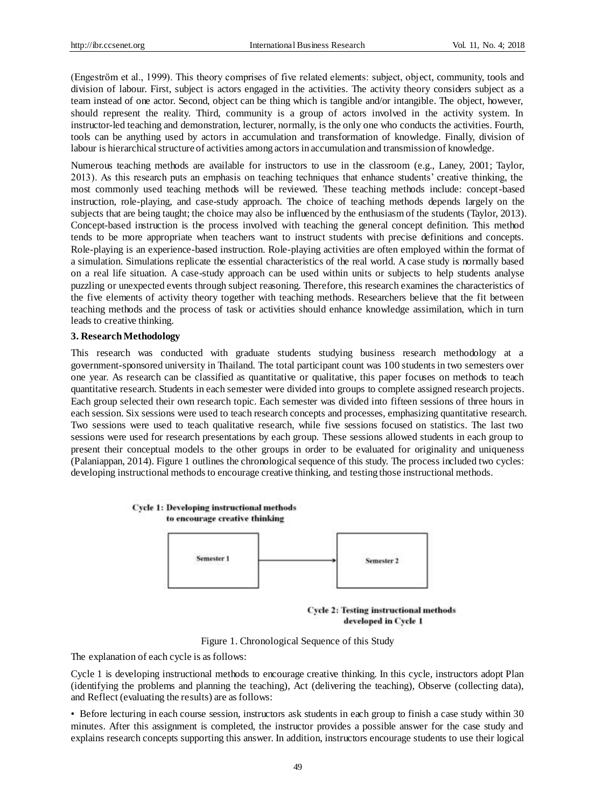(Engestrӧm et al., 1999). This theory comprises of five related elements: subject, object, community, tools and division of labour. First, subject is actors engaged in the activities. The activity theory considers subject as a team instead of one actor. Second, object can be thing which is tangible and/or intangible. The object, however, should represent the reality. Third, community is a group of actors involved in the activity system. In instructor-led teaching and demonstration, lecturer, normally, is the only one who conducts the activities. Fourth, tools can be anything used by actors in accumulation and transformation of knowledge. Finally, division of labour is hierarchical structure of activities among actors in accumulation and transmission of knowledge.

Numerous teaching methods are available for instructors to use in the classroom (e.g., Laney, 2001; Taylor, 2013). As this research puts an emphasis on teaching techniques that enhance students' creative thinking, the most commonly used teaching methods will be reviewed. These teaching methods include: concept-based instruction, role-playing, and case-study approach. The choice of teaching methods depends largely on the subjects that are being taught; the choice may also be influenced by the enthusiasm of the students (Taylor, 2013). Concept-based instruction is the process involved with teaching the general concept definition. This method tends to be more appropriate when teachers want to instruct students with precise definitions and concepts. Role-playing is an experience-based instruction. Role-playing activities are often employed within the format of a simulation. Simulations replicate the essential characteristics of the real world. A case study is normally based on a real life situation. A case-study approach can be used within units or subjects to help students analyse puzzling or unexpected events through subject reasoning. Therefore, this research examines the characteristics of the five elements of activity theory together with teaching methods. Researchers believe that the fit between teaching methods and the process of task or activities should enhance knowledge assimilation, which in turn leads to creative thinking.

#### **3. Research Methodology**

This research was conducted with graduate students studying business research methodology at a government-sponsored university in Thailand. The total participant count was 100 students in two semesters over one year. As research can be classified as quantitative or qualitative, this paper focuses on methods to teach quantitative research. Students in each semester were divided into groups to complete assigned research projects. Each group selected their own research topic. Each semester was divided into fifteen sessions of three hours in each session. Six sessions were used to teach research concepts and processes, emphasizing quantitative research. Two sessions were used to teach qualitative research, while five sessions focused on statistics. The last two sessions were used for research presentations by each group. These sessions allowed students in each group to present their conceptual models to the other groups in order to be evaluated for originality and uniqueness (Palaniappan, 2014). Figure 1 outlines the chronological sequence of this study. The process included two cycles: developing instructional methods to encourage creative thinking, and testing those instructional methods.



**Cycle 2: Testing instructional methods** developed in Cycle 1

Figure 1. Chronological Sequence of this Study

The explanation of each cycle is as follows:

Cycle 1 is developing instructional methods to encourage creative thinking. In this cycle, instructors adopt Plan (identifying the problems and planning the teaching), Act (delivering the teaching), Observe (collecting data), and Reflect (evaluating the results) are as follows:

• Before lecturing in each course session, instructors ask students in each group to finish a case study within 30 minutes. After this assignment is completed, the instructor provides a possible answer for the case study and explains research concepts supporting this answer. In addition, instructors encourage students to use their logical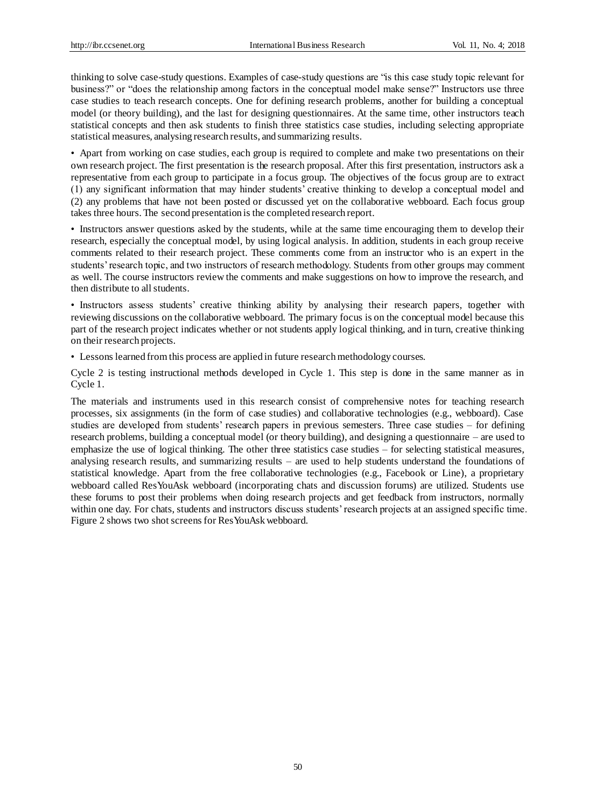thinking to solve case-study questions. Examples of case-study questions are "is this case study topic relevant for business?" or "does the relationship among factors in the conceptual model make sense?" Instructors use three case studies to teach research concepts. One for defining research problems, another for building a conceptual model (or theory building), and the last for designing questionnaires. At the same time, other instructors teach statistical concepts and then ask students to finish three statistics case studies, including selecting appropriate statistical measures, analysing research results, and summarizing results.

• Apart from working on case studies, each group is required to complete and make two presentations on their own research project. The first presentation is the research proposal. After this first presentation, instructors ask a representative from each group to participate in a focus group. The objectives of the focus group are to extract (1) any significant information that may hinder students' creative thinking to develop a conceptual model and (2) any problems that have not been posted or discussed yet on the collaborative webboard. Each focus group takes three hours. The second presentation is the completed research report.

• Instructors answer questions asked by the students, while at the same time encouraging them to develop their research, especially the conceptual model, by using logical analysis. In addition, students in each group receive comments related to their research project. These comments come from an instructor who is an expert in the students' research topic, and two instructors of research methodology. Students from other groups may comment as well. The course instructors review the comments and make suggestions on how to improve the research, and then distribute to all students.

• Instructors assess students' creative thinking ability by analysing their research papers, together with reviewing discussions on the collaborative webboard. The primary focus is on the conceptual model because this part of the research project indicates whether or not students apply logical thinking, and in turn, creative thinking on their research projects.

• Lessons learned from this process are applied in future research methodology courses.

Cycle 2 is testing instructional methods developed in Cycle 1. This step is done in the same manner as in Cycle 1.

The materials and instruments used in this research consist of comprehensive notes for teaching research processes, six assignments (in the form of case studies) and collaborative technologies (e.g., webboard). Case studies are developed from students' research papers in previous semesters. Three case studies – for defining research problems, building a conceptual model (or theory building), and designing a questionnaire – are used to emphasize the use of logical thinking. The other three statistics case studies – for selecting statistical measures, analysing research results, and summarizing results – are used to help students understand the foundations of statistical knowledge. Apart from the free collaborative technologies (e.g., Facebook or Line), a proprietary webboard called ResYouAsk webboard (incorporating chats and discussion forums) are utilized. Students use these forums to post their problems when doing research projects and get feedback from instructors, normally within one day. For chats, students and instructors discuss students' research projects at an assigned specific time. Figure 2 shows two shot screens for ResYouAsk webboard.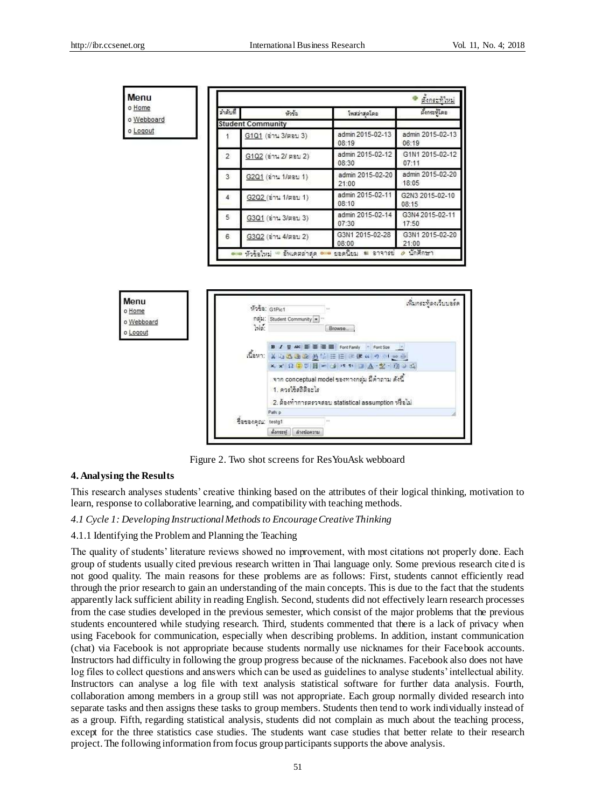| ลำดับที่       | ห้ก่อ                    | <b>Iważnaplpa</b>         | ต่งกระพัโดย               |
|----------------|--------------------------|---------------------------|---------------------------|
|                | <b>Student Community</b> |                           |                           |
|                | G1Q1 (อ่าน 3/ตอบ 3)      | admin 2015-02-13<br>08:19 | admin 2015-02-13<br>06:19 |
| $\overline{2}$ | G102 (อ่าน 2/ ตอบ 2)     | admin 2015-02-12<br>08:30 | G1N1 2015-02-12<br>07:11  |
| 3              | G2Q1 (อ่าน 1/ตอบ 1)      | admin 2015-02-20<br>21:00 | admin 2015-02-20<br>18:05 |
| 4              | G2Q2 (อ่าน 1/ตอบ 1)      | admin 2015-02-11<br>08:10 | G2N3 2015-02-10<br>08:15  |
| 5              | G3Q1 (อ่าน 3/ตอบ 3)      | admin 2015-02-14<br>07:30 | G3N4 2015-02-11<br>17:50  |
| 6.             | G3Q2 (อ่าน 4/ตอบ 2)      | G3N1 2015-02-28<br>08:00  | G3N1 2015-02-20<br>21:00  |



Figure 2. Two shot screens for ResYouAsk webboard

## **4. Analysing the Results**

This research analyses students' creative thinking based on the attributes of their logical thinking, motivation to learn, response to collaborative learning, and compatibility with teaching methods.

## *4.1 Cycle 1: Developing Instructional Methods to Encourage Creative Thinking*

## 4.1.1 Identifying the Problem and Planning the Teaching

The quality of students' literature reviews showed no improvement, with most citations not properly done. Each group of students usually cited previous research written in Thai language only. Some previous research cited is not good quality. The main reasons for these problems are as follows: First, students cannot efficiently read through the prior research to gain an understanding of the main concepts. This is due to the fact that the students apparently lack sufficient ability in reading English. Second, students did not effectively learn research processes from the case studies developed in the previous semester, which consist of the major problems that the previous students encountered while studying research. Third, students commented that there is a lack of privacy when using Facebook for communication, especially when describing problems. In addition, instant communication (chat) via Facebook is not appropriate because students normally use nicknames for their Facebook accounts. Instructors had difficulty in following the group progress because of the nicknames. Facebook also does not have log files to collect questions and answers which can be used as guidelines to analyse students' intellectual ability. Instructors can analyse a log file with text analysis statistical software for further data analysis. Fourth, collaboration among members in a group still was not appropriate. Each group normally divided research into separate tasks and then assigns these tasks to group members. Students then tend to work individually instead of as a group. Fifth, regarding statistical analysis, students did not complain as much about the teaching process, except for the three statistics case studies. The students want case studies that better relate to their research project. The following information from focus group participants supports the above analysis.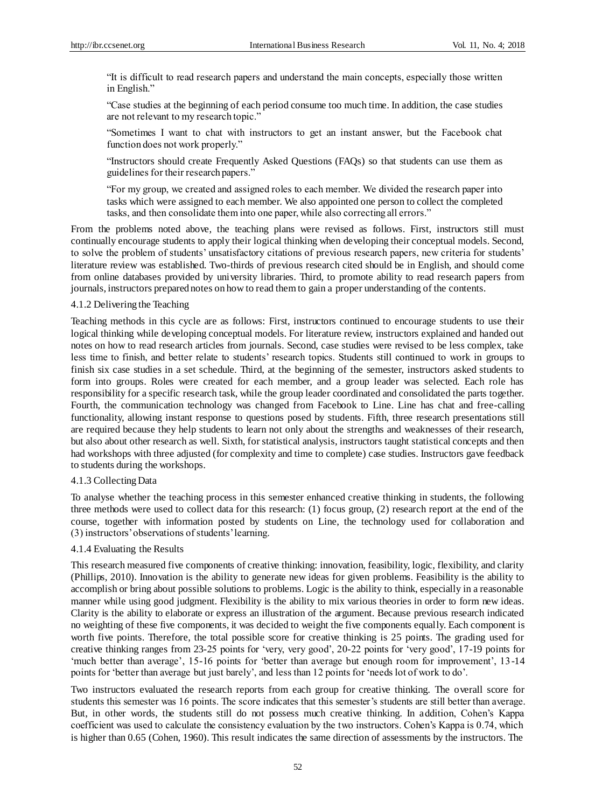"It is difficult to read research papers and understand the main concepts, especially those written in English."

"Case studies at the beginning of each period consume too much time. In addition, the case studies are not relevant to my research topic."

"Sometimes I want to chat with instructors to get an instant answer, but the Facebook chat function does not work properly."

"Instructors should create Frequently Asked Questions (FAQs) so that students can use them as guidelines for their research papers."

"For my group, we created and assigned roles to each member. We divided the research paper into tasks which were assigned to each member. We also appointed one person to collect the completed tasks, and then consolidate them into one paper, while also correcting all errors."

From the problems noted above, the teaching plans were revised as follows. First, instructors still must continually encourage students to apply their logical thinking when developing their conceptual models. Second, to solve the problem of students' unsatisfactory citations of previous research papers, new criteria for students' literature review was established. Two-thirds of previous research cited should be in English, and should come from online databases provided by university libraries. Third, to promote ability to read research papers from journals, instructors prepared notes on how to read them to gain a proper understanding of the contents.

#### 4.1.2 Delivering the Teaching

Teaching methods in this cycle are as follows: First, instructors continued to encourage students to use their logical thinking while developing conceptual models. For literature review, instructors explained and handed out notes on how to read research articles from journals. Second, case studies were revised to be less complex, take less time to finish, and better relate to students' research topics. Students still continued to work in groups to finish six case studies in a set schedule. Third, at the beginning of the semester, instructors asked students to form into groups. Roles were created for each member, and a group leader was selected. Each role has responsibility for a specific research task, while the group leader coordinated and consolidated the parts together. Fourth, the communication technology was changed from Facebook to Line. Line has chat and free-calling functionality, allowing instant response to questions posed by students. Fifth, three research presentations still are required because they help students to learn not only about the strengths and weaknesses of their research, but also about other research as well. Sixth, for statistical analysis, instructors taught statistical concepts and then had workshops with three adjusted (for complexity and time to complete) case studies. Instructors gave feedback to students during the workshops.

#### 4.1.3 Collecting Data

To analyse whether the teaching process in this semester enhanced creative thinking in students, the following three methods were used to collect data for this research: (1) focus group, (2) research report at the end of the course, together with information posted by students on Line, the technology used for collaboration and (3) instructors' observations of students' learning.

#### 4.1.4 Evaluating the Results

This research measured five components of creative thinking: innovation, feasibility, logic, flexibility, and clarity (Phillips, 2010). Innovation is the ability to generate new ideas for given problems. Feasibility is the ability to accomplish or bring about possible solutions to problems. Logic is the ability to think, especially in a reasonable manner while using good judgment. Flexibility is the ability to mix various theories in order to form new ideas. Clarity is the ability to elaborate or express an illustration of the argument. Because previous research indicated no weighting of these five components, it was decided to weight the five components equally. Each component is worth five points. Therefore, the total possible score for creative thinking is 25 points. The grading used for creative thinking ranges from 23-25 points for 'very, very good', 20-22 points for 'very good', 17-19 points for 'much better than average', 15-16 points for 'better than average but enough room for improvement', 13-14 points for 'better than average but just barely', and less than 12 points for 'needs lot of work to do'.

Two instructors evaluated the research reports from each group for creative thinking. The overall score for students this semester was 16 points. The score indicates that this semester's students are still better than average. But, in other words, the students still do not possess much creative thinking. In addition, Cohen's Kappa coefficient was used to calculate the consistency evaluation by the two instructors. Cohen's Kappa is 0.74, which is higher than 0.65 (Cohen, 1960). This result indicates the same direction of assessments by the instructors. The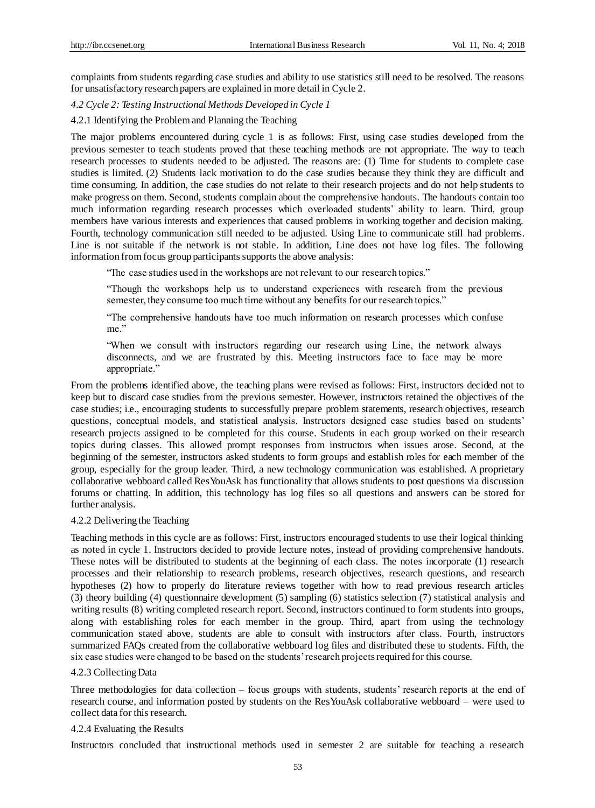complaints from students regarding case studies and ability to use statistics still need to be resolved. The reasons for unsatisfactory research papers are explained in more detail in Cycle 2.

#### *4.2 Cycle 2: Testing Instructional Methods Developed in Cycle 1*

#### 4.2.1 Identifying the Problem and Planning the Teaching

The major problems encountered during cycle 1 is as follows: First, using case studies developed from the previous semester to teach students proved that these teaching methods are not appropriate. The way to teach research processes to students needed to be adjusted. The reasons are: (1) Time for students to complete case studies is limited. (2) Students lack motivation to do the case studies because they think they are difficult and time consuming. In addition, the case studies do not relate to their research projects and do not help students to make progress on them. Second, students complain about the comprehensive handouts. The handouts contain too much information regarding research processes which overloaded students' ability to learn. Third, group members have various interests and experiences that caused problems in working together and decision making. Fourth, technology communication still needed to be adjusted. Using Line to communicate still had problems. Line is not suitable if the network is not stable. In addition, Line does not have log files. The following information from focus group participants supports the above analysis:

"The case studies used in the workshops are not relevant to our research topics."

"Though the workshops help us to understand experiences with research from the previous semester, they consume too much time without any benefits for our research topics."

"The comprehensive handouts have too much information on research processes which confuse me."

"When we consult with instructors regarding our research using Line, the network always disconnects, and we are frustrated by this. Meeting instructors face to face may be more appropriate."

From the problems identified above, the teaching plans were revised as follows: First, instructors decided not to keep but to discard case studies from the previous semester. However, instructors retained the objectives of the case studies; i.e., encouraging students to successfully prepare problem statements, research objectives, research questions, conceptual models, and statistical analysis. Instructors designed case studies based on students' research projects assigned to be completed for this course. Students in each group worked on their research topics during classes. This allowed prompt responses from instructors when issues arose. Second, at the beginning of the semester, instructors asked students to form groups and establish roles for each member of the group, especially for the group leader. Third, a new technology communication was established. A proprietary collaborative webboard called ResYouAsk has functionality that allows students to post questions via discussion forums or chatting. In addition, this technology has log files so all questions and answers can be stored for further analysis.

#### 4.2.2 Delivering the Teaching

Teaching methods in this cycle are as follows: First, instructors encouraged students to use their logical thinking as noted in cycle 1. Instructors decided to provide lecture notes, instead of providing comprehensive handouts. These notes will be distributed to students at the beginning of each class. The notes incorporate (1) research processes and their relationship to research problems, research objectives, research questions, and research hypotheses (2) how to properly do literature reviews together with how to read previous research articles (3) theory building (4) questionnaire development (5) sampling (6) statistics selection (7) statistical analysis and writing results (8) writing completed research report. Second, instructors continued to form students into groups, along with establishing roles for each member in the group. Third, apart from using the technology communication stated above, students are able to consult with instructors after class. Fourth, instructors summarized FAQs created from the collaborative webboard log files and distributed these to students. Fifth, the six case studies were changed to be based on the students' research projects required for this course.

#### 4.2.3 Collecting Data

Three methodologies for data collection – focus groups with students, students' research reports at the end of research course, and information posted by students on the ResYouAsk collaborative webboard – were used to collect data for this research.

#### 4.2.4 Evaluating the Results

Instructors concluded that instructional methods used in semester 2 are suitable for teaching a research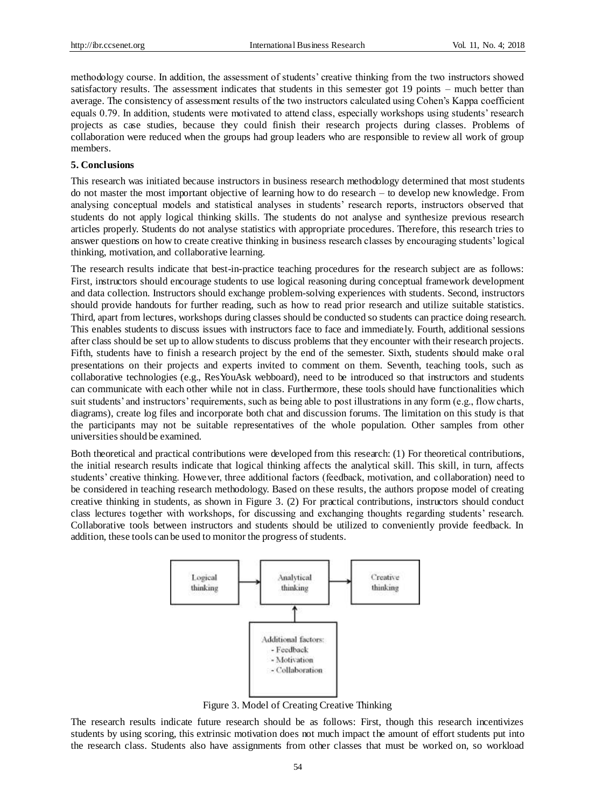methodology course. In addition, the assessment of students' creative thinking from the two instructors showed satisfactory results. The assessment indicates that students in this semester got 19 points – much better than average. The consistency of assessment results of the two instructors calculated using Cohen's Kappa coefficient equals 0.79. In addition, students were motivated to attend class, especially workshops using students' research projects as case studies, because they could finish their research projects during classes. Problems of collaboration were reduced when the groups had group leaders who are responsible to review all work of group members.

#### **5. Conclusions**

This research was initiated because instructors in business research methodology determined that most students do not master the most important objective of learning how to do research – to develop new knowledge. From analysing conceptual models and statistical analyses in students' research reports, instructors observed that students do not apply logical thinking skills. The students do not analyse and synthesize previous research articles properly. Students do not analyse statistics with appropriate procedures. Therefore, this research tries to answer questions on how to create creative thinking in business research classes by encouraging students' logical thinking, motivation, and collaborative learning.

The research results indicate that best-in-practice teaching procedures for the research subject are as follows: First, instructors should encourage students to use logical reasoning during conceptual framework development and data collection. Instructors should exchange problem-solving experiences with students. Second, instructors should provide handouts for further reading, such as how to read prior research and utilize suitable statistics. Third, apart from lectures, workshops during classes should be conducted so students can practice doing research. This enables students to discuss issues with instructors face to face and immediately. Fourth, additional sessions after class should be set up to allow students to discuss problems that they encounter with their research projects. Fifth, students have to finish a research project by the end of the semester. Sixth, students should make oral presentations on their projects and experts invited to comment on them. Seventh, teaching tools, such as collaborative technologies (e.g., ResYouAsk webboard), need to be introduced so that instructors and students can communicate with each other while not in class. Furthermore, these tools should have functionalities which suit students' and instructors' requirements, such as being able to post illustrations in any form (e.g., flow charts, diagrams), create log files and incorporate both chat and discussion forums. The limitation on this study is that the participants may not be suitable representatives of the whole population. Other samples from other universities should be examined.

Both theoretical and practical contributions were developed from this research: (1) For theoretical contributions, the initial research results indicate that logical thinking affects the analytical skill. This skill, in turn, affects students' creative thinking. However, three additional factors (feedback, motivation, and collaboration) need to be considered in teaching research methodology. Based on these results, the authors propose model of creating creative thinking in students, as shown in Figure 3. (2) For practical contributions, instructors should conduct class lectures together with workshops, for discussing and exchanging thoughts regarding students' research. Collaborative tools between instructors and students should be utilized to conveniently provide feedback. In addition, these tools can be used to monitor the progress of students.



Figure 3. Model of Creating Creative Thinking

The research results indicate future research should be as follows: First, though this research incentivizes students by using scoring, this extrinsic motivation does not much impact the amount of effort students put into the research class. Students also have assignments from other classes that must be worked on, so workload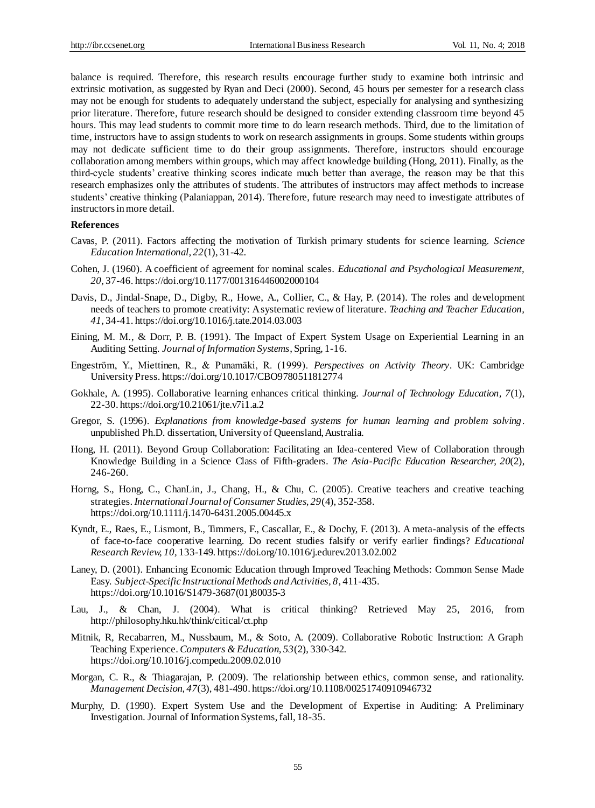balance is required. Therefore, this research results encourage further study to examine both intrinsic and extrinsic motivation, as suggested by Ryan and Deci (2000). Second, 45 hours per semester for a research class may not be enough for students to adequately understand the subject, especially for analysing and synthesizing prior literature. Therefore, future research should be designed to consider extending classroom time beyond 45 hours. This may lead students to commit more time to do learn research methods. Third, due to the limitation of time, instructors have to assign students to work on research assignments in groups. Some students within groups may not dedicate sufficient time to do their group assignments. Therefore, instructors should encourage collaboration among members within groups, which may affect knowledge building (Hong, 2011). Finally, as the third-cycle students' creative thinking scores indicate much better than average, the reason may be that this research emphasizes only the attributes of students. The attributes of instructors may affect methods to increase students' creative thinking (Palaniappan, 2014). Therefore, future research may need to investigate attributes of instructors in more detail.

## **References**

- Cavas, P. (2011). Factors affecting the motivation of Turkish primary students for science learning. *Science Education International, 22*(1), 31-42.
- Cohen, J. (1960). A coefficient of agreement for nominal scales. *Educational and Psychological Measurement, 20,* 37-46. https://doi.org/10.1177/001316446002000104
- Davis, D., Jindal-Snape, D., Digby, R., Howe, A., Collier, C., & Hay, P. (2014). The roles and development needs of teachers to promote creativity: A systematic review of literature. *Teaching and Teacher Education, 41,* 34-41. https://doi.org/10.1016/j.tate.2014.03.003
- Eining, M. M., & Dorr, P. B. (1991). The Impact of Expert System Usage on Experiential Learning in an Auditing Setting. *Journal of Information Systems*, Spring, 1-16.
- Engestrӧm, Y., Miettinen, R., & Punamäki, R. (1999). *Perspectives on Activity Theory*. UK: Cambridge University Press. https://doi.org/10.1017/CBO9780511812774
- Gokhale, A. (1995). Collaborative learning enhances critical thinking. *Journal of Technology Education, 7*(1), 22-30. https://doi.org/10.21061/jte.v7i1.a.2
- Gregor, S. (1996). *Explanations from knowledge-based systems for human learning and problem solving*. unpublished Ph.D. dissertation, University of Queensland, Australia.
- Hong, H. (2011). Beyond Group Collaboration: Facilitating an Idea-centered View of Collaboration through Knowledge Building in a Science Class of Fifth-graders. *The Asia-Pacific Education Researcher, 20*(2), 246-260.
- Horng, S., Hong, C., ChanLin, J., Chang, H., & Chu, C. (2005). Creative teachers and creative teaching strategies. *International Journal of Consumer Studies, 29*(4), 352-358. https://doi.org/10.1111/j.1470-6431.2005.00445.x
- Kyndt, E., Raes, E., Lismont, B., Timmers, F., Cascallar, E., & Dochy, F. (2013). A meta-analysis of the effects of face-to-face cooperative learning. Do recent studies falsify or verify earlier findings? *Educational Research Review, 10,* 133-149. https://doi.org/10.1016/j.edurev.2013.02.002
- Laney, D. (2001). Enhancing Economic Education through Improved Teaching Methods: Common Sense Made Easy. *Subject-Specific Instructional Methods and Activities, 8*, 411-435. https://doi.org/10.1016/S1479-3687(01)80035-3
- Lau, J., & Chan, J. (2004). What is critical thinking? Retrieved May 25, 2016, from http://philosophy.hku.hk/think/citical/ct.php
- Mitnik, R, Recabarren, M., Nussbaum, M., & Soto, A. (2009). Collaborative Robotic Instruction: A Graph Teaching Experience. *Computers & Education, 53*(2), 330-342. https://doi.org/10.1016/j.compedu.2009.02.010
- Morgan, C. R., & Thiagarajan, P. (2009). The relationship between ethics, common sense, and rationality. *Management Decision, 47*(3), 481-490. https://doi.org/10.1108/00251740910946732
- Murphy, D. (1990). Expert System Use and the Development of Expertise in Auditing: A Preliminary Investigation. Journal of Information Systems, fall, 18-35.